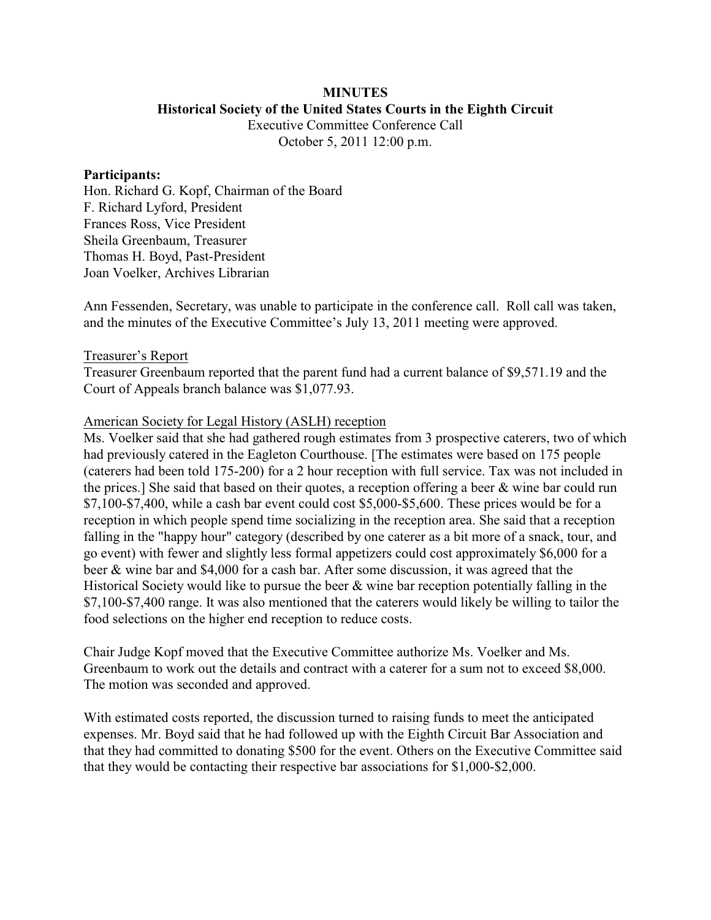## **MINUTES Historical Society of the United States Courts in the Eighth Circuit**

Executive Committee Conference Call October 5, 2011 12:00 p.m.

#### **Participants:**

Hon. Richard G. Kopf, Chairman of the Board F. Richard Lyford, President Frances Ross, Vice President Sheila Greenbaum, Treasurer Thomas H. Boyd, Past-President Joan Voelker, Archives Librarian

Ann Fessenden, Secretary, was unable to participate in the conference call. Roll call was taken, and the minutes of the Executive Committee's July 13, 2011 meeting were approved.

#### Treasurer's Report

Treasurer Greenbaum reported that the parent fund had a current balance of \$9,571.19 and the Court of Appeals branch balance was \$1,077.93.

## American Society for Legal History (ASLH) reception

Ms. Voelker said that she had gathered rough estimates from 3 prospective caterers, two of which had previously catered in the Eagleton Courthouse. [The estimates were based on 175 people (caterers had been told 175-200) for a 2 hour reception with full service. Tax was not included in the prices.] She said that based on their quotes, a reception offering a beer & wine bar could run \$7,100-\$7,400, while a cash bar event could cost \$5,000-\$5,600. These prices would be for a reception in which people spend time socializing in the reception area. She said that a reception falling in the "happy hour" category (described by one caterer as a bit more of a snack, tour, and go event) with fewer and slightly less formal appetizers could cost approximately \$6,000 for a beer & wine bar and \$4,000 for a cash bar. After some discussion, it was agreed that the Historical Society would like to pursue the beer & wine bar reception potentially falling in the \$7,100-\$7,400 range. It was also mentioned that the caterers would likely be willing to tailor the food selections on the higher end reception to reduce costs.

Chair Judge Kopf moved that the Executive Committee authorize Ms. Voelker and Ms. Greenbaum to work out the details and contract with a caterer for a sum not to exceed \$8,000. The motion was seconded and approved.

With estimated costs reported, the discussion turned to raising funds to meet the anticipated expenses. Mr. Boyd said that he had followed up with the Eighth Circuit Bar Association and that they had committed to donating \$500 for the event. Others on the Executive Committee said that they would be contacting their respective bar associations for \$1,000-\$2,000.